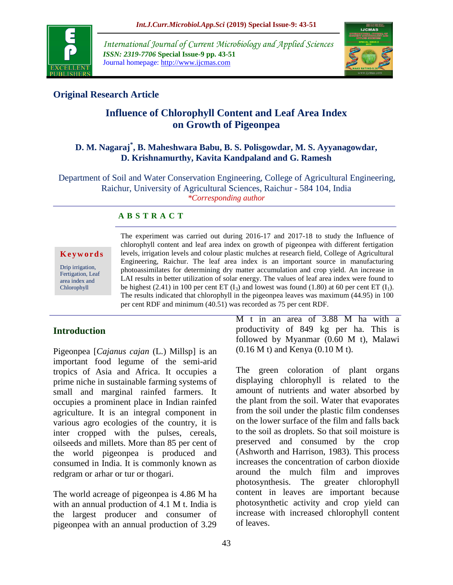

*International Journal of Current Microbiology and Applied Sciences ISSN: 2319-7706* **Special Issue-9 pp. 43-51** Journal homepage: http://www.ijcmas.com



# **Original Research Article**

# **Influence of Chlorophyll Content and Leaf Area Index on Growth of Pigeonpea**

## **D. M. Nagaraj\* , B. Maheshwara Babu, B. S. Polisgowdar, M. S. Ayyanagowdar, D. Krishnamurthy, Kavita Kandpaland and G. Ramesh**

Department of Soil and Water Conservation Engineering, College of Agricultural Engineering, Raichur, University of Agricultural Sciences, Raichur - 584 104, India *\*Corresponding author*

## **A B S T R A C T**

**K e y w o r d s**

Drip irrigation, Fertigation, Leaf area index and Chlorophyll

The experiment was carried out during 2016-17 and 2017-18 to study the Influence of chlorophyll content and leaf area index on growth of pigeonpea with different fertigation levels, irrigation levels and colour plastic mulches at research field, College of Agricultural Engineering, Raichur. The leaf area index is an important source in manufacturing photoassimilates for determining dry matter accumulation and crop yield. An increase in LAI results in better utilization of solar energy. The values of leaf area index were found to be highest (2.41) in 100 per cent ET  $(I_3)$  and lowest was found (1.80) at 60 per cent ET  $(I_1)$ . The results indicated that chlorophyll in the pigeonpea leaves was maximum (44.95) in 100 per cent RDF and minimum (40.51) was recorded as 75 per cent RDF.

# **Introduction**

Pigeonpea [*Cajanus cajan* (L.) Millsp] is an important food legume of the semi-arid tropics of Asia and Africa. It occupies a prime niche in sustainable farming systems of small and marginal rainfed farmers. It occupies a prominent place in Indian rainfed agriculture. It is an integral component in various agro ecologies of the country, it is inter cropped with the pulses, cereals, oilseeds and millets. More than 85 per cent of the world pigeonpea is produced and consumed in India. It is commonly known as redgram or arhar or tur or thogari.

The world acreage of pigeonpea is 4.86 M ha with an annual production of 4.1 M t. India is the largest producer and consumer of pigeonpea with an annual production of 3.29

M t in an area of 3.88 M ha with a productivity of 849 kg per ha. This is followed by Myanmar (0.60 M t), Malawi (0.16 M t) and Kenya (0.10 M t).

The green coloration of plant organs displaying chlorophyll is related to the amount of nutrients and water absorbed by the plant from the soil. Water that evaporates from the soil under the plastic film condenses on the lower surface of the film and falls back to the soil as droplets. So that soil moisture is preserved and consumed by the crop (Ashworth and Harrison, 1983). This process increases the concentration of carbon dioxide around the mulch film and improves photosynthesis. The greater chlorophyll content in leaves are important because photosynthetic activity and crop yield can increase with increased chlorophyll content of leaves.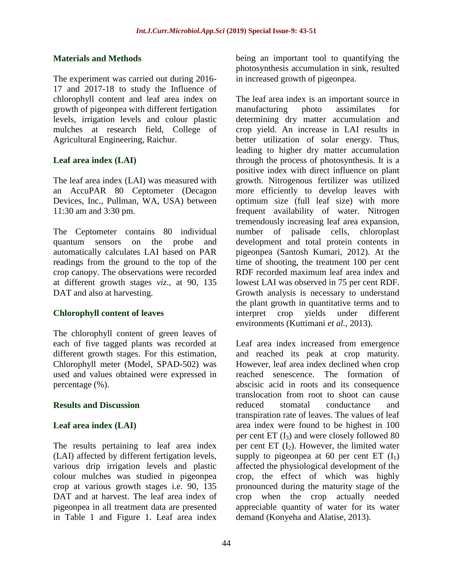#### **Materials and Methods**

The experiment was carried out during 2016- 17 and 2017-18 to study the Influence of chlorophyll content and leaf area index on growth of pigeonpea with different fertigation levels, irrigation levels and colour plastic mulches at research field, College of Agricultural Engineering, Raichur.

## **Leaf area index (LAI)**

The leaf area index (LAI) was measured with an AccuPAR 80 Ceptometer (Decagon Devices, Inc., Pullman, WA, USA) between 11:30 am and 3:30 pm.

The Ceptometer contains 80 individual quantum sensors on the probe and automatically calculates LAI based on PAR readings from the ground to the top of the crop canopy. The observations were recorded at different growth stages *viz*., at 90, 135 DAT and also at harvesting.

#### **Chlorophyll content of leaves**

The chlorophyll content of green leaves of each of five tagged plants was recorded at different growth stages. For this estimation, Chlorophyll meter (Model, SPAD-502) was used and values obtained were expressed in percentage (%).

#### **Results and Discussion**

#### **Leaf area index (LAI)**

The results pertaining to leaf area index (LAI) affected by different fertigation levels, various drip irrigation levels and plastic colour mulches was studied in pigeonpea crop at various growth stages i.e. 90, 135 DAT and at harvest. The leaf area index of pigeonpea in all treatment data are presented in Table 1 and Figure 1. Leaf area index

being an important tool to quantifying the photosynthesis accumulation in sink, resulted in increased growth of pigeonpea.

The leaf area index is an important source in manufacturing photo assimilates for determining dry matter accumulation and crop yield. An increase in LAI results in better utilization of solar energy. Thus, leading to higher dry matter accumulation through the process of photosynthesis. It is a positive index with direct influence on plant growth. Nitrogenous fertilizer was utilized more efficiently to develop leaves with optimum size (full leaf size) with more frequent availability of water. Nitrogen tremendously increasing leaf area expansion, number of palisade cells, chloroplast development and total protein contents in pigeonpea (Santosh Kumari, 2012). At the time of shooting, the treatment 100 per cent RDF recorded maximum leaf area index and lowest LAI was observed in 75 per cent RDF. Growth analysis is necessary to understand the plant growth in quantitative terms and to interpret crop yields under different environments (Kuttimani *et al.,* 2013).

Leaf area index increased from emergence and reached its peak at crop maturity. However, leaf area index declined when crop reached senescence. The formation of abscisic acid in roots and its consequence translocation from root to shoot can cause reduced stomatal conductance and transpiration rate of leaves. The values of leaf area index were found to be highest in 100 per cent  $ET(I_3)$  and were closely followed 80 per cent ET  $(I_2)$ . However, the limited water supply to pigeonpea at 60 per cent  $ET(I_1)$ affected the physiological development of the crop, the effect of which was highly pronounced during the maturity stage of the crop when the crop actually needed appreciable quantity of water for its water demand (Konyeha and Alatise, 2013).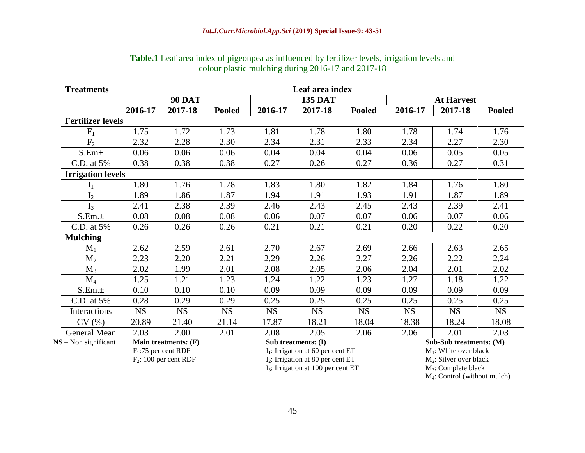| <b>Treatments</b>        | Leaf area index |                        |               |           |                                     |               |                          |           |               |  |  |
|--------------------------|-----------------|------------------------|---------------|-----------|-------------------------------------|---------------|--------------------------|-----------|---------------|--|--|
|                          |                 | <b>90 DAT</b>          |               |           | <b>135 DAT</b>                      |               | <b>At Harvest</b>        |           |               |  |  |
|                          | 2016-17         | 2017-18                | <b>Pooled</b> | 2016-17   | 2017-18                             | <b>Pooled</b> | 2016-17                  | 2017-18   | <b>Pooled</b> |  |  |
| <b>Fertilizer levels</b> |                 |                        |               |           |                                     |               |                          |           |               |  |  |
| F <sub>1</sub>           | 1.75            | 1.72                   | 1.73          | 1.81      | 1.78                                | 1.80          | 1.78                     | 1.74      | 1.76          |  |  |
| F <sub>2</sub>           | 2.32            | 2.28                   | 2.30          | 2.34      | 2.31                                | 2.33          | 2.34                     | 2.27      | 2.30          |  |  |
| S.Em <sub>±</sub>        | 0.06            | 0.06                   | 0.06          | 0.04      | 0.04                                | 0.04          | 0.06                     | 0.05      | 0.05          |  |  |
| C.D. at 5%               | 0.38            | 0.38                   | 0.38          | 0.27      | 0.26                                | 0.27          | 0.36                     | 0.27      | 0.31          |  |  |
| <b>Irrigation levels</b> |                 |                        |               |           |                                     |               |                          |           |               |  |  |
| ${\rm I}_1$              | 1.80            | 1.76                   | 1.78          | 1.83      | 1.80                                | 1.82          | 1.84                     | 1.76      | 1.80          |  |  |
| I <sub>2</sub>           | 1.89            | 1.86                   | 1.87          | 1.94      | 1.91                                | 1.93          | 1.91                     | 1.87      | 1.89          |  |  |
| $I_3$                    | 2.41            | 2.38                   | 2.39          | 2.46      | 2.43                                | 2.45          | 2.43                     | 2.39      | 2.41          |  |  |
| S.Em.±                   | 0.08            | 0.08                   | 0.08          | 0.06      | 0.07                                | 0.07          | 0.06                     | 0.07      | 0.06          |  |  |
| C.D. at 5%               | 0.26            | 0.26                   | 0.26          | 0.21      | 0.21                                | 0.21          | 0.20                     | 0.22      | 0.20          |  |  |
| <b>Mulching</b>          |                 |                        |               |           |                                     |               |                          |           |               |  |  |
| $M_1$                    | 2.62            | 2.59                   | 2.61          | 2.70      | 2.67                                | 2.69          | 2.66                     | 2.63      | 2.65          |  |  |
| $M_2$                    | 2.23            | 2.20                   | 2.21          | 2.29      | 2.26                                | 2.27          | 2.26                     | 2.22      | 2.24          |  |  |
| $M_3$                    | 2.02            | 1.99                   | 2.01          | 2.08      | 2.05                                | 2.06          | 2.04                     | 2.01      | 2.02          |  |  |
| $M_4$                    | 1.25            | 1.21                   | 1.23          | 1.24      | 1.22                                | 1.23          | 1.27                     | 1.18      | 1.22          |  |  |
| S.Em.±                   | 0.10            | 0.10                   | 0.10          | 0.09      | 0.09                                | 0.09          | 0.09                     | 0.09      | 0.09          |  |  |
| C.D. at 5%               | 0.28            | 0.29                   | 0.29          | 0.25      | 0.25                                | 0.25          | 0.25                     | 0.25      | 0.25          |  |  |
| Interactions             | <b>NS</b>       | <b>NS</b>              | <b>NS</b>     | <b>NS</b> | <b>NS</b>                           | <b>NS</b>     | <b>NS</b>                | <b>NS</b> | <b>NS</b>     |  |  |
| CV(%)                    | 20.89           | 21.40                  | 21.14         | 17.87     | 18.21                               | 18.04         | 18.38                    | 18.24     | 18.08         |  |  |
| General Mean             | 2.03            | 2.00                   | 2.01          | 2.08      | 2.05                                | 2.06          | 2.06                     | 2.01      | 2.03          |  |  |
| $NS - Non significant$   |                 | Main treatments: (F)   |               |           | Sub treatments: (I)                 |               | Sub-Sub treatments: (M)  |           |               |  |  |
|                          |                 | $F_1$ :75 per cent RDF |               |           | $I1$ : Irrigation at 60 per cent ET |               | $M_1$ : White over black |           |               |  |  |

### **Table.1** Leaf area index of pigeonpea as influenced by fertilizer levels, irrigation levels and colour plastic mulching during 2016-17 and 2017-18

 $I_3$ : Irrigation at 100 per cent ET

 $F_1:75$  per cent RDF<br>  $F_2: 100$  per cent RDF<br>  $F_3: 100$  per cent RDF<br>  $F_4: 100$  per cent RDF<br>  $F_5: 100$  per cent RDF<br>  $F_6: 100$  per cent RDF<br>  $F_7: 100$  per cent RDF  $I_2$ : Irrigation at 80 per cent ET  $I_3$ : Irrigation at 100 per cent ET  $I_4$ : Complete black

M4: Control (without mulch)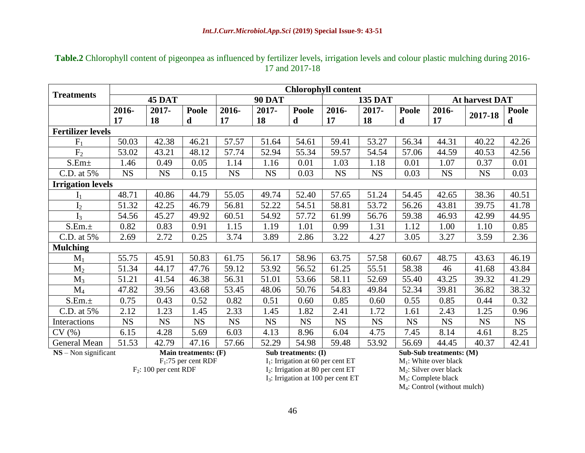| <b>Treatments</b>        | <b>Chlorophyll content</b> |                              |              |               |                     |              |                |                                                |              |                |           |              |
|--------------------------|----------------------------|------------------------------|--------------|---------------|---------------------|--------------|----------------|------------------------------------------------|--------------|----------------|-----------|--------------|
|                          | <b>45 DAT</b>              |                              |              | <b>90 DAT</b> |                     |              | <b>135 DAT</b> |                                                |              | At harvest DAT |           |              |
|                          | 2016-                      | 2017-                        | <b>Poole</b> | 2016-         | $2017 -$            | <b>Poole</b> | 2016-          | 2017-                                          | <b>Poole</b> | 2016-          | 2017-18   | <b>Poole</b> |
|                          | 17                         | 18                           | $\mathbf d$  | 17            | 18                  | d            | 17             | 18                                             | d            | 17             |           | d            |
| <b>Fertilizer levels</b> |                            |                              |              |               |                     |              |                |                                                |              |                |           |              |
| $F_1$                    | 50.03                      | 42.38                        | 46.21        | 57.57         | 51.64               | 54.61        | 59.41          | 53.27                                          | 56.34        | 44.31          | 40.22     | 42.26        |
| F <sub>2</sub>           | 53.02                      | 43.21                        | 48.12        | 57.74         | 52.94               | 55.34        | 59.57          | 54.54                                          | 57.06        | 44.59          | 40.53     | 42.56        |
| $S.Em\pm$                | 1.46                       | 0.49                         | 0.05         | 1.14          | 1.16                | 0.01         | 1.03           | 1.18                                           | 0.01         | 1.07           | 0.37      | 0.01         |
| C.D. at 5%               | <b>NS</b>                  | <b>NS</b>                    | 0.15         | <b>NS</b>     | <b>NS</b>           | 0.03         | <b>NS</b>      | <b>NS</b>                                      | 0.03         | <b>NS</b>      | <b>NS</b> | 0.03         |
| <b>Irrigation levels</b> |                            |                              |              |               |                     |              |                |                                                |              |                |           |              |
| ${\rm I}_1$              | 48.71                      | 40.86                        | 44.79        | 55.05         | 49.74               | 52.40        | 57.65          | 51.24                                          | 54.45        | 42.65          | 38.36     | 40.51        |
| I <sub>2</sub>           | 51.32                      | 42.25                        | 46.79        | 56.81         | 52.22               | 54.51        | 58.81          | 53.72                                          | 56.26        | 43.81          | 39.75     | 41.78        |
| $I_3$                    | 54.56                      | 45.27                        | 49.92        | 60.51         | 54.92               | 57.72        | 61.99          | 56.76                                          | 59.38        | 46.93          | 42.99     | 44.95        |
| S.Em.±                   | 0.82                       | 0.83                         | 0.91         | 1.15          | 1.19                | 1.01         | 0.99           | 1.31                                           | 1.12         | 1.00           | 1.10      | 0.85         |
| C.D. at 5%               | 2.69                       | 2.72                         | 0.25         | 3.74          | 3.89                | 2.86         | 3.22           | 4.27                                           | 3.05         | 3.27           | 3.59      | 2.36         |
| <b>Mulching</b>          |                            |                              |              |               |                     |              |                |                                                |              |                |           |              |
| $M_1$                    | 55.75                      | 45.91                        | 50.83        | 61.75         | 56.17               | 58.96        | 63.75          | 57.58                                          | 60.67        | 48.75          | 43.63     | 46.19        |
| $M_2$                    | 51.34                      | 44.17                        | 47.76        | 59.12         | 53.92               | 56.52        | 61.25          | 55.51                                          | 58.38        | 46             | 41.68     | 43.84        |
| $M_3$                    | 51.21                      | 41.54                        | 46.38        | 56.31         | 51.01               | 53.66        | 58.11          | 52.69                                          | 55.40        | 43.25          | 39.32     | 41.29        |
| $M_4$                    | 47.82                      | 39.56                        | 43.68        | 53.45         | 48.06               | 50.76        | 54.83          | 49.84                                          | 52.34        | 39.81          | 36.82     | 38.32        |
| S.Em.±                   | 0.75                       | 0.43                         | 0.52         | 0.82          | 0.51                | 0.60         | 0.85           | 0.60                                           | 0.55         | 0.85           | 0.44      | 0.32         |
| C.D. at 5%               | 2.12                       | 1.23                         | 1.45         | 2.33          | 1.45                | 1.82         | 2.41           | 1.72                                           | 1.61         | 2.43           | 1.25      | 0.96         |
| Interactions             | <b>NS</b>                  | <b>NS</b>                    | <b>NS</b>    | <b>NS</b>     | <b>NS</b>           | <b>NS</b>    | <b>NS</b>      | <b>NS</b>                                      | <b>NS</b>    | <b>NS</b>      | <b>NS</b> | <b>NS</b>    |
| CV(%)                    | 6.15                       | 4.28                         | 5.69         | 6.03          | 4.13                | 8.96         | 6.04           | 4.75                                           | 7.45         | 8.14           | 4.61      | 8.25         |
| <b>General Mean</b>      | 51.53                      | 42.79                        | 47.16        | 57.66         | 52.29               | 54.98        | 59.48          | 53.92                                          | 56.69        | 44.45          | 40.37     | 42.41        |
| $NS - Non significant$   |                            | Main treatments: (F)<br>E.75 |              |               | Sub treatments: (I) |              |                | Sub-Sub treatments: (M)<br>$M = W/L$ , $1.1.1$ |              |                |           |              |

### **Table.2** Chlorophyll content of pigeonpea as influenced by fertilizer levels, irrigation levels and colour plastic mulching during 2016- 17 and 2017-18

 $F_1:75$  per cent RDF  $I_1:$  Irrigation at 60 per cent ET  $I_2: 100$  per cent RDF  $I_2:$  Irrigation at 80 per cent ET  $M_2:$  Silver over black  $I_2$ : Irrigation at 80 per cent ET  $I_3$ : Irrigation at 100 per cent ET  $I_3$ : Complete black

 $I_3$ : Irrigation at 100 per cent ET

M4: Control (without mulch)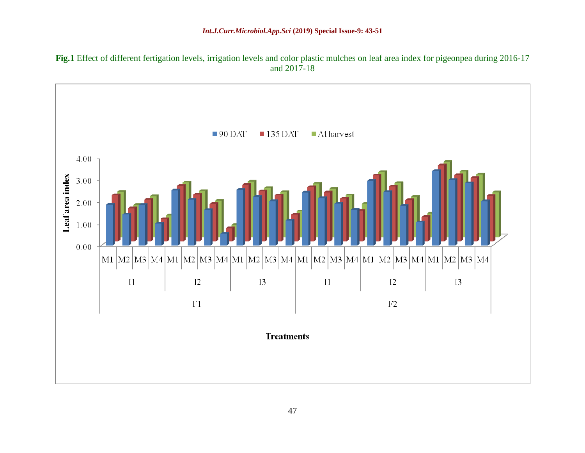

**Fig.1** Effect of different fertigation levels, irrigation levels and color plastic mulches on leaf area index for pigeonpea during 2016-17 and 2017-18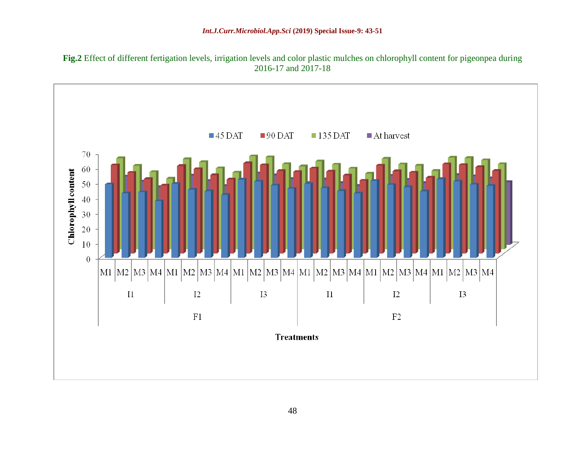

**Fig.2** Effect of different fertigation levels, irrigation levels and color plastic mulches on chlorophyll content for pigeonpea during 2016-17 and 2017-18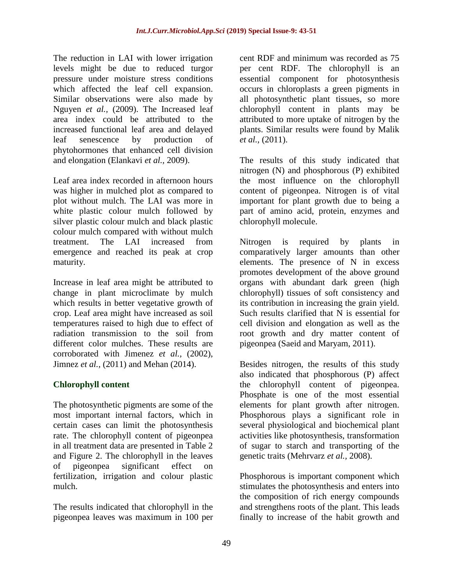The reduction in LAI with lower irrigation levels might be due to reduced turgor pressure under moisture stress conditions which affected the leaf cell expansion. Similar observations were also made by Nguyen *et al.,* (2009). The Increased leaf area index could be attributed to the increased functional leaf area and delayed leaf senescence by production of phytohormones that enhanced cell division and elongation (Elankavi *et al.,* 2009).

Leaf area index recorded in afternoon hours was higher in mulched plot as compared to plot without mulch. The LAI was more in white plastic colour mulch followed by silver plastic colour mulch and black plastic colour mulch compared with without mulch treatment. The LAI increased from emergence and reached its peak at crop maturity.

Increase in leaf area might be attributed to change in plant microclimate by mulch which results in better vegetative growth of crop. Leaf area might have increased as soil temperatures raised to high due to effect of radiation transmission to the soil from different color mulches. These results are corroborated with Jimenez *et al.,* (2002), Jimnez *et al.,* (2011) and Mehan (2014).

# **Chlorophyll content**

The photosynthetic pigments are some of the most important internal factors, which in certain cases can limit the photosynthesis rate. The chlorophyll content of pigeonpea in all treatment data are presented in Table 2 and Figure 2. The chlorophyll in the leaves of pigeonpea significant effect on fertilization, irrigation and colour plastic mulch.

The results indicated that chlorophyll in the pigeonpea leaves was maximum in 100 per

cent RDF and minimum was recorded as 75 per cent RDF. The chlorophyll is an essential component for photosynthesis occurs in chloroplasts a green pigments in all photosynthetic plant tissues, so more chlorophyll content in plants may be attributed to more uptake of nitrogen by the plants. Similar results were found by Malik *et al.,* (2011).

The results of this study indicated that nitrogen (N) and phosphorous (P) exhibited the most influence on the chlorophyll content of pigeonpea. Nitrogen is of vital important for plant growth due to being a part of amino acid, protein, enzymes and chlorophyll molecule.

Nitrogen is required by plants in comparatively larger amounts than other elements. The presence of N in excess promotes development of the above ground organs with abundant dark green (high chlorophyll) tissues of soft consistency and its contribution in increasing the grain yield. Such results clarified that N is essential for cell division and elongation as well as the root growth and dry matter content of pigeonpea (Saeid and Maryam, 2011).

Besides nitrogen, the results of this study also indicated that phosphorous (P) affect the chlorophyll content of pigeonpea. Phosphate is one of the most essential elements for plant growth after nitrogen. Phosphorous plays a significant role in several physiological and biochemical plant activities like photosynthesis, transformation of sugar to starch and transporting of the genetic traits (Mehrvarz *et al.,* 2008).

Phosphorous is important component which stimulates the photosynthesis and enters into the composition of rich energy compounds and strengthens roots of the plant. This leads finally to increase of the habit growth and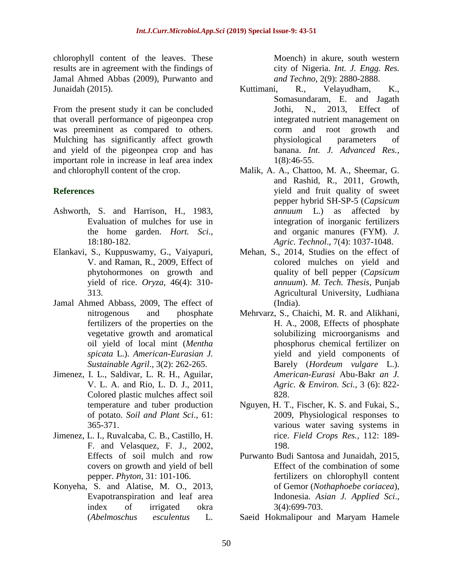chlorophyll content of the leaves. These results are in agreement with the findings of Jamal Ahmed Abbas (2009), Purwanto and Junaidah (2015).

From the present study it can be concluded that overall performance of pigeonpea crop was preeminent as compared to others. Mulching has significantly affect growth and yield of the pigeonpea crop and has important role in increase in leaf area index and chlorophyll content of the crop.

# **References**

- Ashworth, S. and Harrison, H., 1983, Evaluation of mulches for use in the home garden. *Hort. Sci*., 18:180-182.
- Elankavi, S., Kuppuswamy, G., Vaiyapuri, V. and Raman, R., 2009, Effect of phytohormones on growth and yield of rice. *Oryza,* 46(4): 310- 313.
- Jamal Ahmed Abbass, 2009, The effect of nitrogenous and phosphate fertilizers of the properties on the vegetative growth and aromatical oil yield of local mint (*Mentha spicata* L.). *American-Eurasian J. Sustainable Agril*., 3(2): 262-265.
- Jimenez, I. L., Saldivar, L. R. H., Aguilar, V. L. A. and Rio, L. D. J., 2011, Colored plastic mulches affect soil temperature and tuber production of potato. *Soil and Plant Sci*., 61: 365-371.
- Jimenez, L. I., Ruvalcaba, C. B., Castillo, H. F. and Velasquez, F. J., 2002, Effects of soil mulch and row covers on growth and yield of bell pepper. *Phyton*, 31: 101-106.
- Konyeha, S. and Alatise, M. O., 2013, Evapotranspiration and leaf area index of irrigated okra (*Abelmoschus esculentus* L.

Moench) in akure, south western city of Nigeria. *Int. J. Engg. Res. and Techno*, 2(9): 2880-2888.

- Kuttimani, R., Velayudham, K., Somasundaram, E. and Jagath Jothi, N., 2013, Effect of integrated nutrient management on corm and root growth and physiological parameters of banana. *Int. J. Advanced Res.*, 1(8):46-55.
- Malik, A. A., Chattoo, M. A., Sheemar, G. and Rashid, R., 2011, Growth, yield and fruit quality of sweet pepper hybrid SH-SP-5 (*Capsicum annuum* L.) as affected by integration of inorganic fertilizers and organic manures (FYM). *J. Agric. Technol*., 7(4): 1037-1048.
- Mehan, S., 2014, Studies on the effect of colored mulches on yield and quality of bell pepper (*Capsicum annuum*). *M. Tech. Thesis*, Punjab Agricultural University, Ludhiana (India).
- Mehrvarz, S., Chaichi, M. R. and Alikhani, H. A., 2008, Effects of phosphate solubilizing microorganisms and phosphorus chemical fertilizer on yield and yield components of Barely (*Hordeum vulgare* L.). *American-Eurasi* Abu-Bakr *an J. Agric. & Environ. Sci.,* 3 (6): 822- 828.
- Nguyen, H. T., Fischer, K. S. and Fukai, S., 2009, Physiological responses to various water saving systems in rice. *Field Crops Res.,* 112: 189- 198.
- Purwanto Budi Santosa and Junaidah, 2015, Effect of the combination of some fertilizers on chlorophyll content of Gemor (*Nothaphoebe coriacea*), Indonesia. *Asian J. Applied Sci*., 3(4):699-703.
- Saeid Hokmalipour and Maryam Hamele